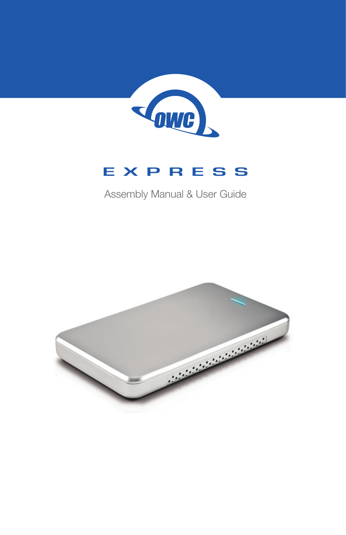

## **EXPRESS**

## Assembly Manual & User Guide

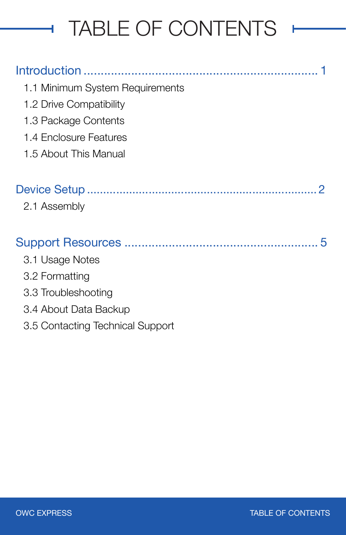# TABLE OF CONTENTS

## Introduction [.....................................................................](#page-2-0) 1

ł.

- [1.1 Minimum System Requirements](#page-2-0)
- [1.2 Drive Compatibility](#page-2-0)
- [1.3 Package Contents](#page-2-0)
- [1.4 Enclosure Features](#page-2-0)
- [1.5](#page-2-0) About This Manual

## Device Setup [.......................................................................](#page-3-0) 2

[2.1 Assembly](#page-3-0)

| 3.1 Usage Notes                  |  |
|----------------------------------|--|
| 3.2 Formatting                   |  |
| 3.3 Troubleshooting              |  |
| 3.4 About Data Backup            |  |
| 3.5 Contacting Technical Support |  |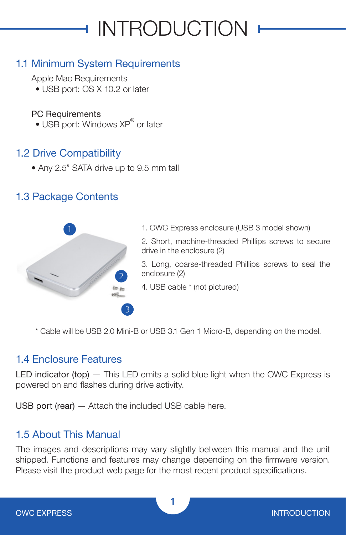# **INTRODUCTION**

## <span id="page-2-0"></span>1.1 Minimum System Requirements

Apple Mac Requirements

• USB port: OS X 10.2 or later

#### PC Requirements

• USB port: Windows XP® or later

### 1.2 Drive Compatibility

• Any 2.5" SATA drive up to 9.5 mm tall

#### 1.3 Package Contents



1. OWC Express enclosure (USB 3 model shown)

2. Short, machine-threaded Phillips screws to secure drive in the enclosure (2)

3. Long, coarse-threaded Phillips screws to seal the enclosure (2)

4. USB cable \* (not pictured)

\* Cable will be USB 2.0 Mini-B or USB 3.1 Gen 1 Micro-B, depending on the model.

#### 1.4 Enclosure Features

LED indicator (top)  $-$  This LED emits a solid blue light when the OWC Express is powered on and flashes during drive activity.

USB port (rear) — Attach the included USB cable here.

#### 1.5 About This Manual

The images and descriptions may vary slightly between this manual and the unit shipped. Functions and features may change depending on the firmware version. Please visit the product web page for the most recent product specifications.

**1**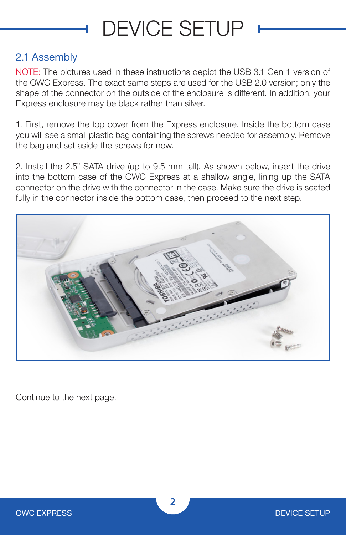## DEVICE SETUP

#### <span id="page-3-0"></span>2.1 Assembly

NOTE: The pictures used in these instructions depict the USB 3.1 Gen 1 version of the OWC Express. The exact same steps are used for the USB 2.0 version; only the shape of the connector on the outside of the enclosure is different. In addition, your Express enclosure may be black rather than silver.

1. First, remove the top cover from the Express enclosure. Inside the bottom case you will see a small plastic bag containing the screws needed for assembly. Remove the bag and set aside the screws for now.

2. Install the 2.5" SATA drive (up to 9.5 mm tall). As shown below, insert the drive into the bottom case of the OWC Express at a shallow angle, lining up the SATA connector on the drive with the connector in the case. Make sure the drive is seated fully in the connector inside the bottom case, then proceed to the next step.



Continue to the next page.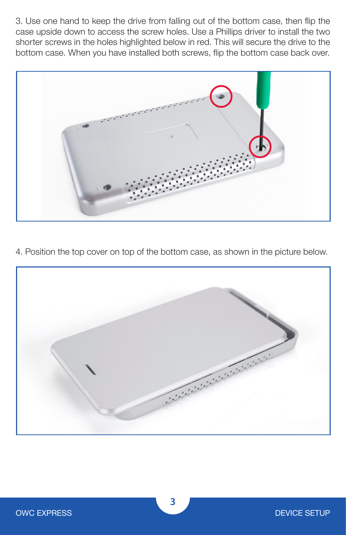3. Use one hand to keep the drive from falling out of the bottom case, then flip the case upside down to access the screw holes. Use a Phillips driver to install the two shorter screws in the holes highlighted below in red. This will secure the drive to the bottom case. When you have installed both screws, flip the bottom case back over.



4. Position the top cover on top of the bottom case, as shown in the picture below.

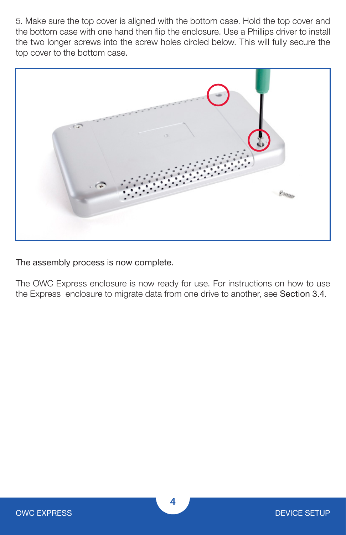5. Make sure the top cover is aligned with the bottom case. Hold the top cover and the bottom case with one hand then flip the enclosure. Use a Phillips driver to install the two longer screws into the screw holes circled below. This will fully secure the top cover to the bottom case.



The assembly process is now complete.

The OWC Express enclosure is now ready for use. For instructions on how to use the Express enclosure to migrate data from one drive to another, see Section 3.4.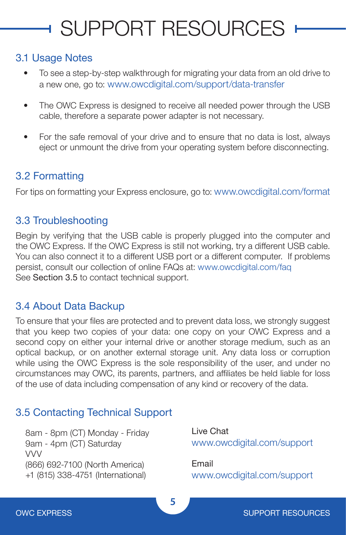# <span id="page-6-0"></span>**SUPPORT RESOURCES**

#### 3.1 Usage Notes

- To see a step-by-step walkthrough for migrating your data from an old drive to a new one, go to: [www.owcdigital.com/support/data-transfer](http://www.owcdigital.com/support/data-transfer)
- The OWC Express is designed to receive all needed power through the USB cable, therefore a separate power adapter is not necessary.
- For the safe removal of your drive and to ensure that no data is lost, always eject or unmount the drive from your operating system before disconnecting.

### 3.2 Formatting

For tips on formatting your Express enclosure, go to: [www.owcdigital.com/format](http://www.owcdigital.com/format)

#### 3.3 Troubleshooting

Begin by verifying that the USB cable is properly plugged into the computer and the OWC Express. If the OWC Express is still not working, try a different USB cable. You can also connect it to a different USB port or a different computer. If problems persist, consult our collection of online FAQs at: [www.owcdigital.com/faq](http://www.owcdigital.com/faq) See Section 3.5 to contact technical support.

#### 3.4 About Data Backup

To ensure that your files are protected and to prevent data loss, we strongly suggest that you keep two copies of your data: one copy on your OWC Express and a second copy on either your internal drive or another storage medium, such as an optical backup, or on another external storage unit. Any data loss or corruption while using the OWC Express is the sole responsibility of the user, and under no circumstances may OWC, its parents, partners, and affiliates be held liable for loss of the use of data including compensation of any kind or recovery of the data.

## 3.5 Contacting Technical Support

8am - 8pm (CT) Monday - Friday 9am - 4pm (CT) Saturday VVV (866) 692-7100 (North America) +1 (815) 338-4751 (International)

Live Chat [www.owcdigital.com/support](http://www.owcdigital.com/support)

Email [www.owcdigital.com/support](http://www.owcdigital.com/support)